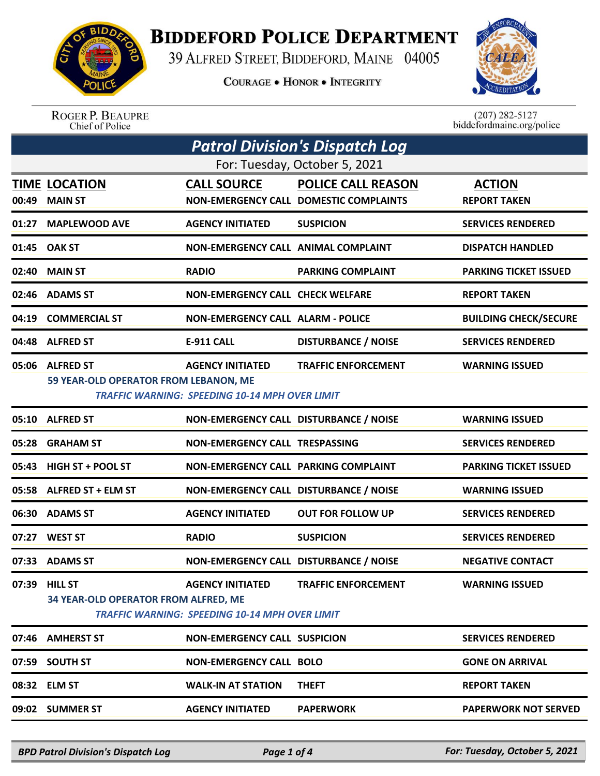

## **BIDDEFORD POLICE DEPARTMENT**

39 ALFRED STREET, BIDDEFORD, MAINE 04005

**COURAGE . HONOR . INTEGRITY** 



ROGER P. BEAUPRE<br>Chief of Police

 $(207)$  282-5127<br>biddefordmaine.org/police

| <b>Patrol Division's Dispatch Log</b> |                                                          |                                                                                  |                                                                     |                                      |  |
|---------------------------------------|----------------------------------------------------------|----------------------------------------------------------------------------------|---------------------------------------------------------------------|--------------------------------------|--|
| For: Tuesday, October 5, 2021         |                                                          |                                                                                  |                                                                     |                                      |  |
| 00:49                                 | <b>TIME LOCATION</b><br><b>MAIN ST</b>                   | <b>CALL SOURCE</b>                                                               | <b>POLICE CALL REASON</b><br>NON-EMERGENCY CALL DOMESTIC COMPLAINTS | <b>ACTION</b><br><b>REPORT TAKEN</b> |  |
|                                       | 01:27 MAPLEWOOD AVE                                      | <b>AGENCY INITIATED</b>                                                          | <b>SUSPICION</b>                                                    | <b>SERVICES RENDERED</b>             |  |
|                                       | 01:45 OAK ST                                             | NON-EMERGENCY CALL ANIMAL COMPLAINT                                              |                                                                     | <b>DISPATCH HANDLED</b>              |  |
|                                       | 02:40 MAIN ST                                            | <b>RADIO</b>                                                                     | <b>PARKING COMPLAINT</b>                                            | <b>PARKING TICKET ISSUED</b>         |  |
|                                       | 02:46 ADAMS ST                                           | <b>NON-EMERGENCY CALL CHECK WELFARE</b>                                          |                                                                     | <b>REPORT TAKEN</b>                  |  |
| 04:19                                 | <b>COMMERCIAL ST</b>                                     | <b>NON-EMERGENCY CALL ALARM - POLICE</b>                                         |                                                                     | <b>BUILDING CHECK/SECURE</b>         |  |
|                                       | 04:48 ALFRED ST                                          | <b>E-911 CALL</b>                                                                | <b>DISTURBANCE / NOISE</b>                                          | <b>SERVICES RENDERED</b>             |  |
|                                       | 05:06 ALFRED ST<br>59 YEAR-OLD OPERATOR FROM LEBANON, ME | <b>AGENCY INITIATED</b><br><b>TRAFFIC WARNING: SPEEDING 10-14 MPH OVER LIMIT</b> | <b>TRAFFIC ENFORCEMENT</b>                                          | <b>WARNING ISSUED</b>                |  |
|                                       | 05:10 ALFRED ST                                          | NON-EMERGENCY CALL DISTURBANCE / NOISE                                           |                                                                     | <b>WARNING ISSUED</b>                |  |
| 05:28                                 | <b>GRAHAM ST</b>                                         | NON-EMERGENCY CALL TRESPASSING                                                   |                                                                     | <b>SERVICES RENDERED</b>             |  |
| 05:43                                 | HIGH ST + POOL ST                                        | NON-EMERGENCY CALL PARKING COMPLAINT                                             |                                                                     | <b>PARKING TICKET ISSUED</b>         |  |
|                                       | 05:58 ALFRED ST + ELM ST                                 | NON-EMERGENCY CALL DISTURBANCE / NOISE                                           |                                                                     | <b>WARNING ISSUED</b>                |  |
|                                       | 06:30 ADAMS ST                                           | <b>AGENCY INITIATED</b>                                                          | <b>OUT FOR FOLLOW UP</b>                                            | <b>SERVICES RENDERED</b>             |  |
| 07:27                                 | <b>WEST ST</b>                                           | <b>RADIO</b>                                                                     | <b>SUSPICION</b>                                                    | <b>SERVICES RENDERED</b>             |  |
|                                       | 07:33 ADAMS ST                                           | NON-EMERGENCY CALL DISTURBANCE / NOISE                                           |                                                                     | <b>NEGATIVE CONTACT</b>              |  |
|                                       | 07:39 HILL ST<br>34 YEAR-OLD OPERATOR FROM ALFRED, ME    | <b>AGENCY INITIATED</b><br><b>TRAFFIC WARNING: SPEEDING 10-14 MPH OVER LIMIT</b> | <b>TRAFFIC ENFORCEMENT</b>                                          | <b>WARNING ISSUED</b>                |  |
|                                       | 07:46 AMHERST ST                                         | NON-EMERGENCY CALL SUSPICION                                                     |                                                                     | <b>SERVICES RENDERED</b>             |  |
|                                       | 07:59 SOUTH ST                                           | <b>NON-EMERGENCY CALL BOLO</b>                                                   |                                                                     | <b>GONE ON ARRIVAL</b>               |  |
|                                       | 08:32 ELM ST                                             | <b>WALK-IN AT STATION</b>                                                        | <b>THEFT</b>                                                        | <b>REPORT TAKEN</b>                  |  |
|                                       | 09:02 SUMMER ST                                          | <b>AGENCY INITIATED</b>                                                          | <b>PAPERWORK</b>                                                    | <b>PAPERWORK NOT SERVED</b>          |  |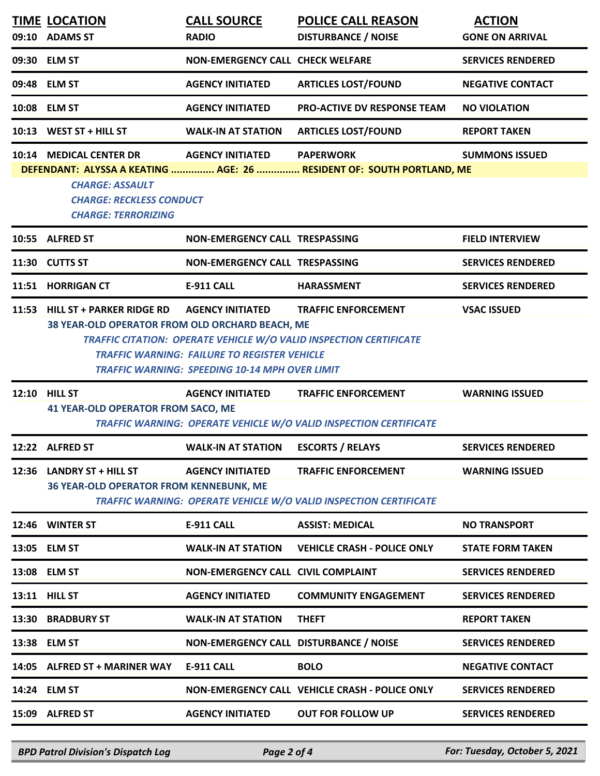|       | <b>TIME LOCATION</b><br>09:10 ADAMS ST                                                                                                                                                                                                                                                                                                                   | <b>CALL SOURCE</b><br><b>RADIO</b>      | <b>POLICE CALL REASON</b><br><b>DISTURBANCE / NOISE</b>               | <b>ACTION</b><br><b>GONE ON ARRIVAL</b> |  |
|-------|----------------------------------------------------------------------------------------------------------------------------------------------------------------------------------------------------------------------------------------------------------------------------------------------------------------------------------------------------------|-----------------------------------------|-----------------------------------------------------------------------|-----------------------------------------|--|
|       | 09:30 ELM ST                                                                                                                                                                                                                                                                                                                                             | <b>NON-EMERGENCY CALL CHECK WELFARE</b> |                                                                       | <b>SERVICES RENDERED</b>                |  |
|       | 09:48 ELM ST                                                                                                                                                                                                                                                                                                                                             | <b>AGENCY INITIATED</b>                 | <b>ARTICLES LOST/FOUND</b>                                            | <b>NEGATIVE CONTACT</b>                 |  |
|       | 10:08 ELM ST                                                                                                                                                                                                                                                                                                                                             | <b>AGENCY INITIATED</b>                 | <b>PRO-ACTIVE DV RESPONSE TEAM</b>                                    | <b>NO VIOLATION</b>                     |  |
| 10:13 | WEST ST + HILL ST                                                                                                                                                                                                                                                                                                                                        | <b>WALK-IN AT STATION</b>               | <b>ARTICLES LOST/FOUND</b>                                            | <b>REPORT TAKEN</b>                     |  |
|       | 10:14 MEDICAL CENTER DR                                                                                                                                                                                                                                                                                                                                  | <b>AGENCY INITIATED</b>                 | <b>PAPERWORK</b>                                                      | <b>SUMMONS ISSUED</b>                   |  |
|       | <b>CHARGE: ASSAULT</b><br><b>CHARGE: RECKLESS CONDUCT</b><br><b>CHARGE: TERRORIZING</b>                                                                                                                                                                                                                                                                  |                                         | DEFENDANT: ALYSSA A KEATING  AGE: 26  RESIDENT OF: SOUTH PORTLAND, ME |                                         |  |
|       | 10:55 ALFRED ST                                                                                                                                                                                                                                                                                                                                          | NON-EMERGENCY CALL TRESPASSING          |                                                                       | <b>FIELD INTERVIEW</b>                  |  |
|       | 11:30 CUTTS ST                                                                                                                                                                                                                                                                                                                                           | NON-EMERGENCY CALL TRESPASSING          |                                                                       | <b>SERVICES RENDERED</b>                |  |
|       | 11:51 HORRIGAN CT                                                                                                                                                                                                                                                                                                                                        | <b>E-911 CALL</b>                       | <b>HARASSMENT</b>                                                     | <b>SERVICES RENDERED</b>                |  |
| 11:53 | <b>HILL ST + PARKER RIDGE RD</b><br><b>AGENCY INITIATED</b><br><b>TRAFFIC ENFORCEMENT</b><br><b>VSAC ISSUED</b><br>38 YEAR-OLD OPERATOR FROM OLD ORCHARD BEACH, ME<br>TRAFFIC CITATION: OPERATE VEHICLE W/O VALID INSPECTION CERTIFICATE<br><b>TRAFFIC WARNING: FAILURE TO REGISTER VEHICLE</b><br><b>TRAFFIC WARNING: SPEEDING 10-14 MPH OVER LIMIT</b> |                                         |                                                                       |                                         |  |
|       | 12:10 HILL ST                                                                                                                                                                                                                                                                                                                                            | <b>AGENCY INITIATED</b>                 | <b>TRAFFIC ENFORCEMENT</b>                                            | <b>WARNING ISSUED</b>                   |  |
|       | <b>41 YEAR-OLD OPERATOR FROM SACO, ME</b>                                                                                                                                                                                                                                                                                                                |                                         | TRAFFIC WARNING: OPERATE VEHICLE W/O VALID INSPECTION CERTIFICATE     |                                         |  |
|       | 12:22 ALFRED ST                                                                                                                                                                                                                                                                                                                                          | <b>WALK-IN AT STATION</b>               | <b>ESCORTS / RELAYS</b>                                               | <b>SERVICES RENDERED</b>                |  |
| 12:36 | LANDRY ST + HILL ST<br><b>36 YEAR-OLD OPERATOR FROM KENNEBUNK, ME</b>                                                                                                                                                                                                                                                                                    | <b>AGENCY INITIATED</b>                 | <b>TRAFFIC ENFORCEMENT</b>                                            |                                         |  |
| 12:46 |                                                                                                                                                                                                                                                                                                                                                          |                                         | TRAFFIC WARNING: OPERATE VEHICLE W/O VALID INSPECTION CERTIFICATE     | <b>WARNING ISSUED</b>                   |  |
| 13:05 | <b>WINTER ST</b>                                                                                                                                                                                                                                                                                                                                         | <b>E-911 CALL</b>                       | <b>ASSIST: MEDICAL</b>                                                | <b>NO TRANSPORT</b>                     |  |
|       | <b>ELM ST</b>                                                                                                                                                                                                                                                                                                                                            | <b>WALK-IN AT STATION</b>               | <b>VEHICLE CRASH - POLICE ONLY</b>                                    | <b>STATE FORM TAKEN</b>                 |  |
|       | 13:08 ELM ST                                                                                                                                                                                                                                                                                                                                             | NON-EMERGENCY CALL CIVIL COMPLAINT      |                                                                       | <b>SERVICES RENDERED</b>                |  |
|       | 13:11 HILL ST                                                                                                                                                                                                                                                                                                                                            | <b>AGENCY INITIATED</b>                 | <b>COMMUNITY ENGAGEMENT</b>                                           | <b>SERVICES RENDERED</b>                |  |
| 13:30 | <b>BRADBURY ST</b>                                                                                                                                                                                                                                                                                                                                       | <b>WALK-IN AT STATION</b>               | <b>THEFT</b>                                                          | <b>REPORT TAKEN</b>                     |  |
|       | 13:38 ELM ST                                                                                                                                                                                                                                                                                                                                             | NON-EMERGENCY CALL DISTURBANCE / NOISE  |                                                                       | <b>SERVICES RENDERED</b>                |  |
|       | 14:05 ALFRED ST + MARINER WAY                                                                                                                                                                                                                                                                                                                            | <b>E-911 CALL</b>                       | <b>BOLO</b>                                                           | <b>NEGATIVE CONTACT</b>                 |  |
|       | 14:24 ELM ST                                                                                                                                                                                                                                                                                                                                             |                                         | NON-EMERGENCY CALL VEHICLE CRASH - POLICE ONLY                        | <b>SERVICES RENDERED</b>                |  |
|       | 15:09 ALFRED ST                                                                                                                                                                                                                                                                                                                                          | <b>AGENCY INITIATED</b>                 | <b>OUT FOR FOLLOW UP</b>                                              | <b>SERVICES RENDERED</b>                |  |

*BPD Patrol Division's Dispatch Log Page 2 of 4 For: Tuesday, October 5, 2021*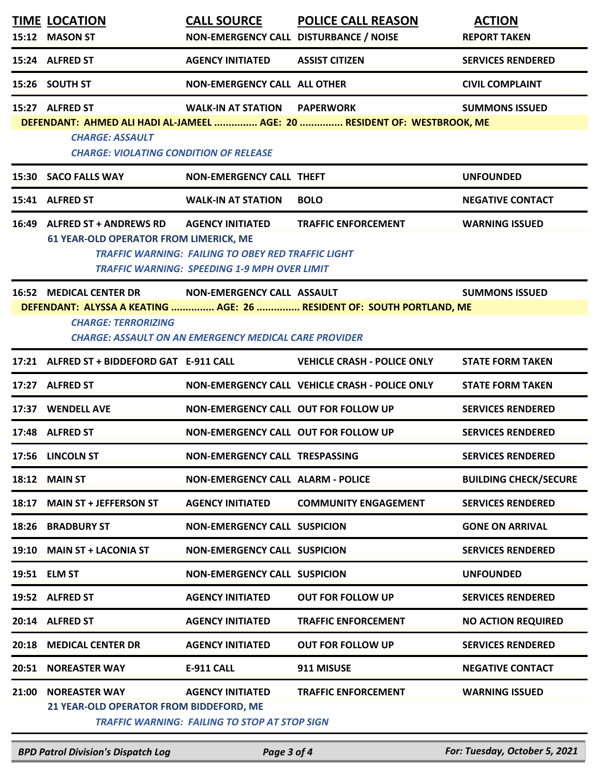|       | <b>TIME LOCATION</b><br>15:12 MASON ST             | <b>CALL SOURCE</b><br>NON-EMERGENCY CALL DISTURBANCE / NOISE | <b>POLICE CALL REASON</b>                                                                    | <b>ACTION</b><br><b>REPORT TAKEN</b> |
|-------|----------------------------------------------------|--------------------------------------------------------------|----------------------------------------------------------------------------------------------|--------------------------------------|
|       |                                                    |                                                              |                                                                                              |                                      |
|       | 15:24 ALFRED ST                                    | <b>AGENCY INITIATED</b>                                      | <b>ASSIST CITIZEN</b>                                                                        | <b>SERVICES RENDERED</b>             |
|       | 15:26 SOUTH ST                                     | <b>NON-EMERGENCY CALL ALL OTHER</b>                          |                                                                                              | <b>CIVIL COMPLAINT</b>               |
|       | 15:27 ALFRED ST                                    | WALK-IN AT STATION                                           | <b>PAPERWORK</b><br>DEFENDANT: AHMED ALI HADI AL-JAMEEL  AGE: 20  RESIDENT OF: WESTBROOK, ME | <b>SUMMONS ISSUED</b>                |
|       | <b>CHARGE: ASSAULT</b>                             |                                                              |                                                                                              |                                      |
|       | <b>CHARGE: VIOLATING CONDITION OF RELEASE</b>      |                                                              |                                                                                              |                                      |
|       | 15:30 SACO FALLS WAY                               | <b>NON-EMERGENCY CALL THEFT</b>                              |                                                                                              | <b>UNFOUNDED</b>                     |
|       | 15:41 ALFRED ST                                    | <b>WALK-IN AT STATION</b>                                    | <b>BOLO</b>                                                                                  | <b>NEGATIVE CONTACT</b>              |
|       | 16:49 ALFRED ST + ANDREWS RD AGENCY INITIATED      |                                                              | <b>TRAFFIC ENFORCEMENT</b>                                                                   | <b>WARNING ISSUED</b>                |
|       | <b>61 YEAR-OLD OPERATOR FROM LIMERICK, ME</b>      | <b>TRAFFIC WARNING: FAILING TO OBEY RED TRAFFIC LIGHT</b>    |                                                                                              |                                      |
|       |                                                    | <b>TRAFFIC WARNING: SPEEDING 1-9 MPH OVER LIMIT</b>          |                                                                                              |                                      |
|       | 16:52 MEDICAL CENTER DR NON-EMERGENCY CALL ASSAULT |                                                              |                                                                                              | <b>SUMMONS ISSUED</b>                |
|       |                                                    |                                                              | DEFENDANT: ALYSSA A KEATING  AGE: 26  RESIDENT OF: SOUTH PORTLAND, ME                        |                                      |
|       | <b>CHARGE: TERRORIZING</b>                         | <b>CHARGE: ASSAULT ON AN EMERGENCY MEDICAL CARE PROVIDER</b> |                                                                                              |                                      |
|       | 17:21 ALFRED ST + BIDDEFORD GAT E-911 CALL         |                                                              | <b>VEHICLE CRASH - POLICE ONLY</b>                                                           | <b>STATE FORM TAKEN</b>              |
|       | 17:27 ALFRED ST                                    |                                                              | NON-EMERGENCY CALL VEHICLE CRASH - POLICE ONLY                                               | <b>STATE FORM TAKEN</b>              |
|       | 17:37 WENDELL AVE                                  | NON-EMERGENCY CALL OUT FOR FOLLOW UP                         |                                                                                              | <b>SERVICES RENDERED</b>             |
|       | 17:48 ALFRED ST                                    | NON-EMERGENCY CALL OUT FOR FOLLOW UP                         |                                                                                              | <b>SERVICES RENDERED</b>             |
|       | 17:56 LINCOLN ST                                   | NON-EMERGENCY CALL TRESPASSING                               |                                                                                              | <b>SERVICES RENDERED</b>             |
|       | 18:12 MAIN ST                                      | <b>NON-EMERGENCY CALL ALARM - POLICE</b>                     |                                                                                              | <b>BUILDING CHECK/SECURE</b>         |
| 18:17 | <b>MAIN ST + JEFFERSON ST</b>                      | <b>AGENCY INITIATED</b>                                      | <b>COMMUNITY ENGAGEMENT</b>                                                                  | <b>SERVICES RENDERED</b>             |
|       | <b>18:26 BRADBURY ST</b>                           | <b>NON-EMERGENCY CALL SUSPICION</b>                          |                                                                                              | <b>GONE ON ARRIVAL</b>               |
| 19:10 | <b>MAIN ST + LACONIA ST</b>                        | <b>NON-EMERGENCY CALL SUSPICION</b>                          |                                                                                              | <b>SERVICES RENDERED</b>             |
|       | 19:51 ELM ST                                       | <b>NON-EMERGENCY CALL SUSPICION</b>                          |                                                                                              | <b>UNFOUNDED</b>                     |
|       | 19:52 ALFRED ST                                    | <b>AGENCY INITIATED</b>                                      | <b>OUT FOR FOLLOW UP</b>                                                                     | <b>SERVICES RENDERED</b>             |
|       | 20:14 ALFRED ST                                    | <b>AGENCY INITIATED</b>                                      | <b>TRAFFIC ENFORCEMENT</b>                                                                   | <b>NO ACTION REQUIRED</b>            |
| 20:18 | <b>MEDICAL CENTER DR</b>                           | <b>AGENCY INITIATED</b>                                      | <b>OUT FOR FOLLOW UP</b>                                                                     | <b>SERVICES RENDERED</b>             |
| 20:51 | <b>NOREASTER WAY</b>                               | <b>E-911 CALL</b>                                            | 911 MISUSE                                                                                   | <b>NEGATIVE CONTACT</b>              |
| 21:00 | <b>NOREASTER WAY</b>                               | <b>AGENCY INITIATED</b>                                      | <b>TRAFFIC ENFORCEMENT</b>                                                                   | <b>WARNING ISSUED</b>                |
|       | 21 YEAR-OLD OPERATOR FROM BIDDEFORD, ME            | <b>TRAFFIC WARNING: FAILING TO STOP AT STOP SIGN</b>         |                                                                                              |                                      |

*BPD Patrol Division's Dispatch Log Page 3 of 4 For: Tuesday, October 5, 2021*